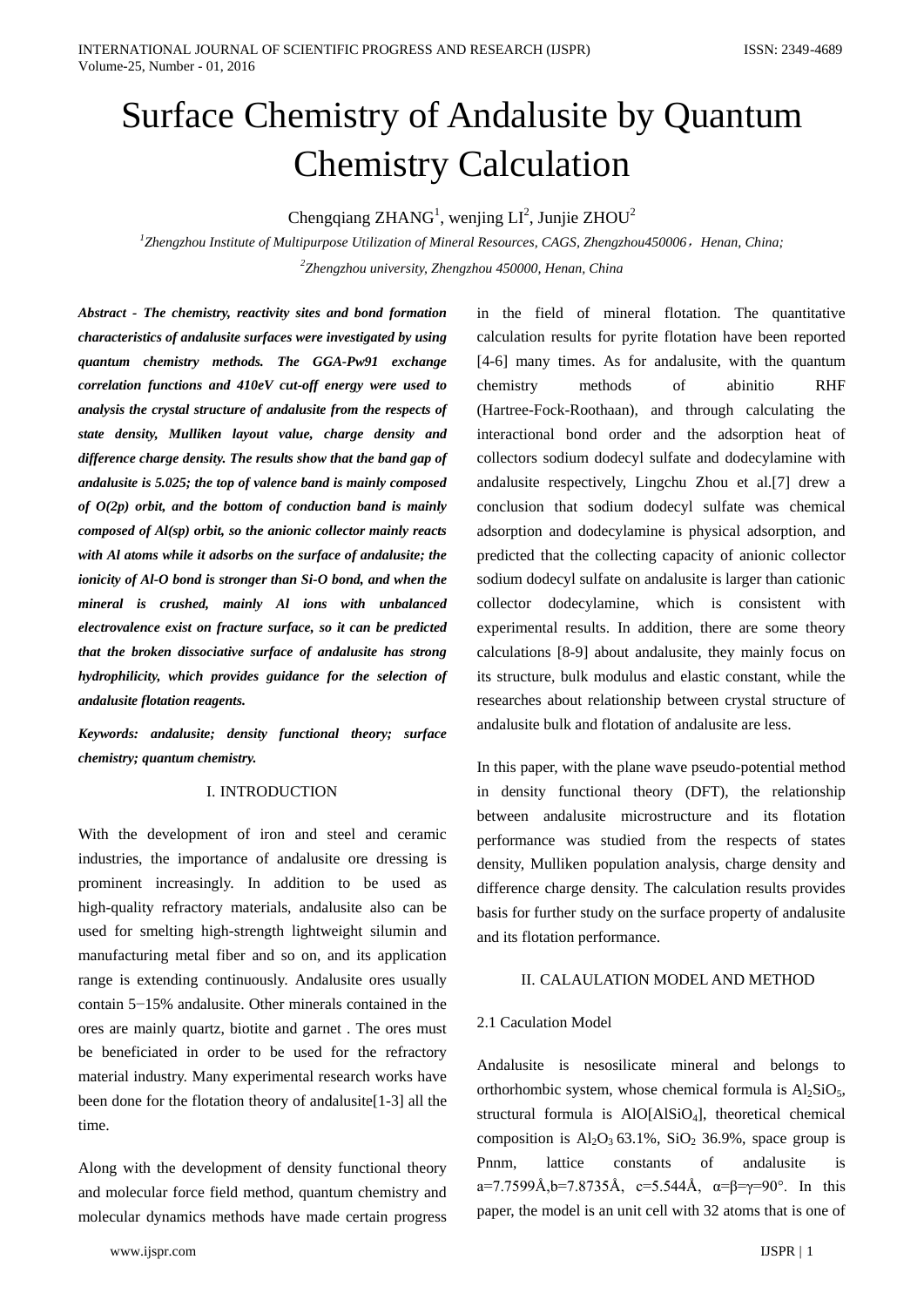# Surface Chemistry of Andalusite by Quantum Chemistry Calculation

Chengqiang ZHANG<sup>1</sup>, wenjing  $LI^2$ , Junjie ZHOU<sup>2</sup>

<sup>1</sup>Zhengzhou Institute of Multipurpose Utilization of Mineral Resources, CAGS, Zhengzhou450006, Henan, China; *2 Zhengzhou university, Zhengzhou 450000, Henan, China*

*Abstract - The chemistry, reactivity sites and bond formation characteristics of andalusite surfaces were investigated by using quantum chemistry methods. The GGA-Pw91 exchange correlation functions and 410eV cut-off energy were used to analysis the crystal structure of andalusite from the respects of state density, Mulliken layout value, charge density and difference charge density. The results show that the band gap of andalusite is 5.025; the top of valence band is mainly composed of O(2p) orbit, and the bottom of conduction band is mainly composed of Al(sp) orbit, so the anionic collector mainly reacts with Al atoms while it adsorbs on the surface of andalusite; the ionicity of Al-O bond is stronger than Si-O bond, and when the mineral is crushed, mainly Al ions with unbalanced electrovalence exist on fracture surface, so it can be predicted that the broken dissociative surface of andalusite has strong hydrophilicity, which provides guidance for the selection of andalusite flotation reagents.*

*Keywords: andalusite; density functional theory; surface chemistry; quantum chemistry.*

### I. INTRODUCTION

With the development of iron and steel and ceramic industries, the importance of andalusite ore dressing is prominent increasingly. In addition to be used as high-quality refractory materials, andalusite also can be used for smelting high-strength lightweight silumin and manufacturing metal fiber and so on, and its application range is extending continuously. Andalusite ores usually contain 5−15% andalusite. Other minerals contained in the ores are mainly quartz, biotite and garnet . The ores must be beneficiated in order to be used for the refractory material industry. Many experimental research works have been done for the flotation theory of andalusite[1-3] all the time.

Along with the development of density functional theory and molecular force field method, quantum chemistry and molecular dynamics methods have made certain progress in the field of mineral flotation. The quantitative calculation results for pyrite flotation have been reported [4-6] many times. As for andalusite, with the quantum chemistry methods of abinitio RHF (Hartree-Fock-Roothaan), and through calculating the interactional bond order and the adsorption heat of collectors sodium dodecyl sulfate and dodecylamine with andalusite respectively, Lingchu Zhou et al.[7] drew a conclusion that sodium dodecyl sulfate was chemical adsorption and dodecylamine is physical adsorption, and predicted that the collecting capacity of anionic collector sodium dodecyl sulfate on andalusite is larger than cationic collector dodecylamine, which is consistent with experimental results. In addition, there are some theory calculations [8-9] about andalusite, they mainly focus on its structure, bulk modulus and elastic constant, while the researches about relationship between crystal structure of andalusite bulk and flotation of andalusite are less.

In this paper, with the plane wave pseudo-potential method in density functional theory (DFT), the relationship between andalusite microstructure and its flotation performance was studied from the respects of states density, Mulliken population analysis, charge density and difference charge density. The calculation results provides basis for further study on the surface property of andalusite and its flotation performance.

#### II. CALAULATION MODEL AND METHOD

#### 2.1 Caculation Model

Andalusite is nesosilicate mineral and belongs to orthorhombic system, whose chemical formula is  $Al_2SiO_5$ , structural formula is AlO[AlSiO<sub>4</sub>], theoretical chemical composition is  $Al_2O_3 63.1\%$ ,  $SiO_2 36.9\%$ , space group is Pnnm, lattice constants of andalusite is a=7.7599Å,b=7.8735Å, c=5.544Å,  $\alpha = \beta = \gamma = 90^{\circ}$ . In this paper, the model is an unit cell with 32 atoms that is one of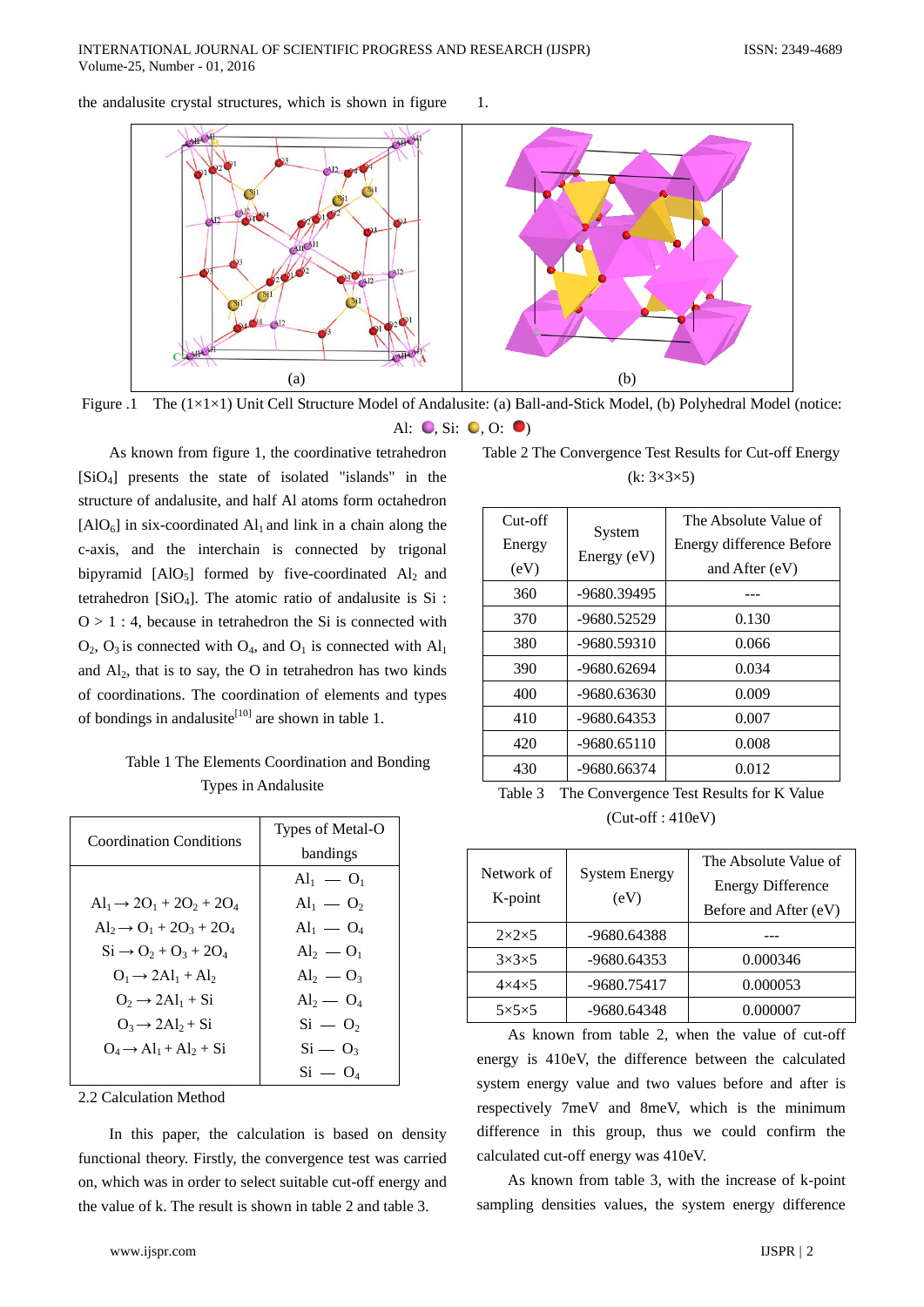the andalusite crystal structures, which is shown in figure 1.



Figure .1 The (1×1×1) Unit Cell Structure Model of Andalusite: (a) Ball-and-Stick Model, (b) Polyhedral Model (notice: Al:  $\bullet$ , Si:  $\bullet$ , O:  $\bullet$ )

As known from figure 1, the coordinative tetrahedron [SiO4] presents the state of isolated "islands" in the structure of andalusite, and half Al atoms form octahedron  $[AIO<sub>6</sub>]$  in six-coordinated  $AI<sub>1</sub>$  and link in a chain along the c-axis, and the interchain is connected by trigonal bipyramid  $[AIO_5]$  formed by five-coordinated  $Al_2$  and tetrahedron [SiO4]. The atomic ratio of andalusite is Si :  $Q > 1$ : 4, because in tetrahedron the Si is connected with  $O_2$ ,  $O_3$  is connected with  $O_4$ , and  $O_1$  is connected with  $Al_1$ and  $Al<sub>2</sub>$ , that is to say, the O in tetrahedron has two kinds of coordinations. The coordination of elements and types of bondings in andalusite<sup>[10]</sup> are shown in table 1.

Table 1 The Elements Coordination and Bonding Types in Andalusite

| <b>Coordination Conditions</b>                                    | Types of Metal-O<br>bandings           |
|-------------------------------------------------------------------|----------------------------------------|
|                                                                   | $\mathrm{Al}_{1} = \mathrm{O}_{1}$     |
| $\text{Al}_1 \rightarrow 2\text{O}_1 + 2\text{O}_2 + 2\text{O}_4$ | $Al_1 - O_2$                           |
| $Al_2 \rightarrow O_1 + 2O_3 + 2O_4$                              | $Al_1 - O_4$                           |
| $Si \rightarrow O_2 + O_3 + 2O_4$                                 | $\mathrm{Al}_2$ — $\mathrm{O}_1$       |
| $Q_1 \rightarrow 2Al_1 + Al_2$                                    | $Al_2 - O_3$                           |
| $O_2 \rightarrow 2Al_1 + Si$                                      | $\mathrm{Al}_2\mathrm{=}~\mathrm{O}_4$ |
| $Q_3 \rightarrow 2Al_2 + Si$                                      | $Si = O2$                              |
| $Q_4 \rightarrow Al_1 + Al_2 + Si$                                | $Si - O_3$                             |
|                                                                   | $Si = O_4$                             |

2.2 Calculation Method

In this paper, the calculation is based on density functional theory. Firstly, the convergence test was carried on, which was in order to select suitable cut-off energy and the value of k. The result is shown in table 2 and table 3.

| Table 2 The Convergence Test Results for Cut-off Energy |  |
|---------------------------------------------------------|--|
| $(k: 3\times3\times5)$                                  |  |

| $Cut$ -off<br>Energy<br>(eV) | System<br>Energy (eV) | The Absolute Value of<br>Energy difference Before<br>and After (eV) |
|------------------------------|-----------------------|---------------------------------------------------------------------|
| 360                          | -9680.39495           |                                                                     |
| 370                          | -9680.52529           | 0.130                                                               |
| 380                          | -9680.59310           | 0.066                                                               |
| 390                          | -9680.62694           | 0.034                                                               |
| 400                          | -9680.63630           | 0.009                                                               |
| 410                          | $-9680.64353$         | 0.007                                                               |
| 420                          | $-9680.65110$         | 0.008                                                               |
| 430                          | -9680.66374           | 0.012                                                               |

Table 3 The Convergence Test Results for K Value (Cut-off : 410eV)

| Network of<br>K-point | <b>System Energy</b><br>(eV) | The Absolute Value of<br><b>Energy Difference</b><br>Before and After (eV) |
|-----------------------|------------------------------|----------------------------------------------------------------------------|
| $2\times2\times5$     | -9680.64388                  |                                                                            |
| $3\times3\times5$     | -9680.64353                  | 0.000346                                                                   |
| $4\times4\times5$     | -9680.75417                  | 0.000053                                                                   |
| $5\times5\times5$     | -9680.64348                  | 0.000007                                                                   |

As known from table 2, when the value of cut-off energy is 410eV, the difference between the calculated system energy value and two values before and after is respectively 7meV and 8meV, which is the minimum difference in this group, thus we could confirm the calculated cut-off energy was 410eV.

As known from table 3, with the increase of k-point sampling densities values, the system energy difference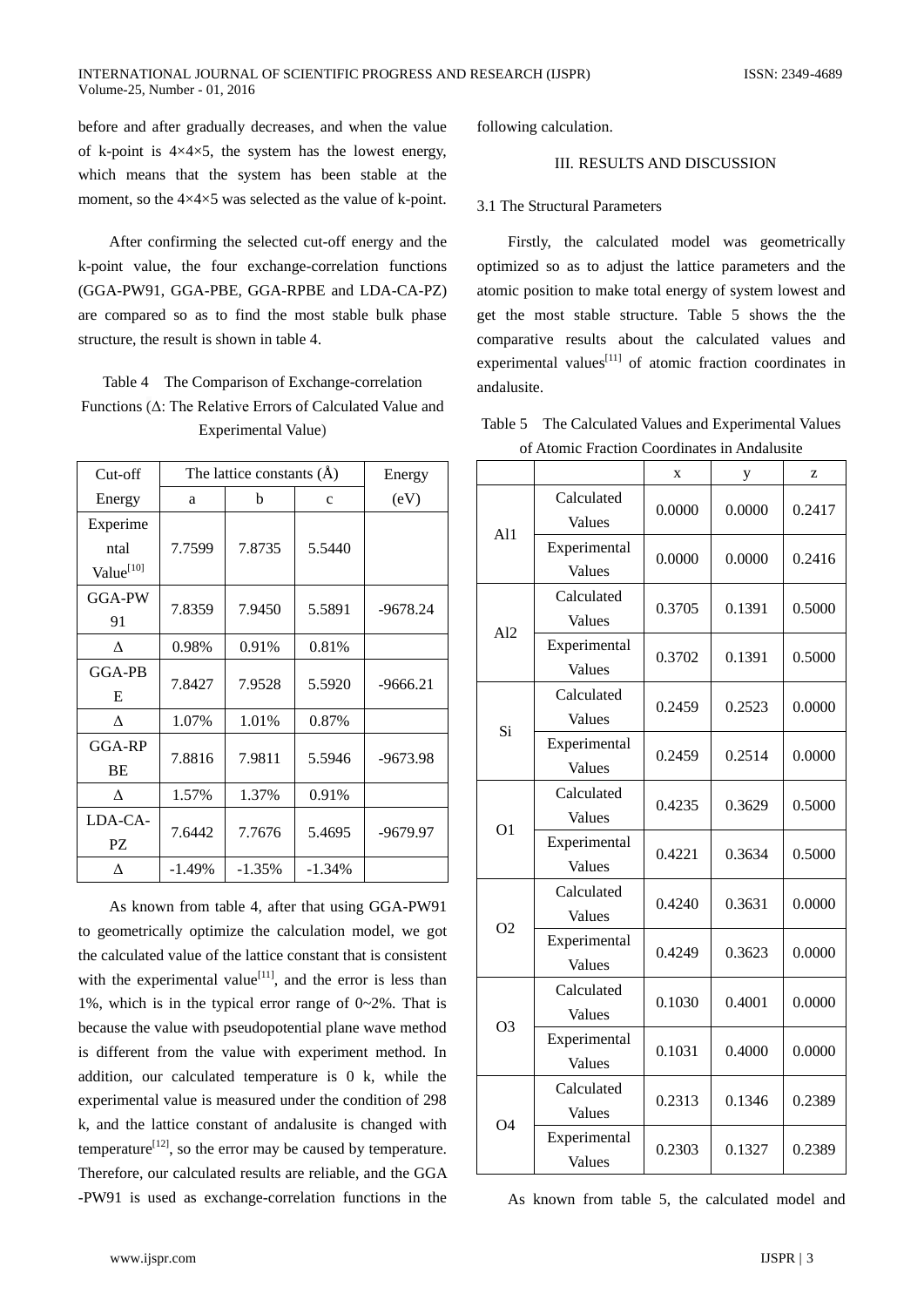before and after gradually decreases, and when the value of k-point is  $4 \times 4 \times 5$ , the system has the lowest energy, which means that the system has been stable at the moment, so the  $4\times4\times5$  was selected as the value of k-point.

After confirming the selected cut-off energy and the k-point value, the four exchange-correlation functions (GGA-PW91, GGA-PBE, GGA-RPBE and LDA-CA-PZ) are compared so as to find the most stable bulk phase structure, the result is shown in table 4.

# Table 4 The Comparison of Exchange-correlation Functions (Δ: The Relative Errors of Calculated Value and Experimental Value)

| Cut-off               | The lattice constants $(A)$ |          |             | Energy     |
|-----------------------|-----------------------------|----------|-------------|------------|
| Energy                | a                           | b        | $\mathbf c$ | (eV)       |
| Experime              |                             |          |             |            |
| ntal                  | 7.7599                      | 7.8735   | 5.5440      |            |
| Value <sup>[10]</sup> |                             |          |             |            |
| GGA-PW                |                             |          |             |            |
| 91                    | 7.8359                      | 7.9450   | 5.5891      | -9678.24   |
| Δ                     | 0.98%                       | 0.91%    | 0.81%       |            |
| GGA-PB                |                             |          |             |            |
| E                     | 7.8427                      | 7.9528   | 5.5920      | $-9666.21$ |
| Λ                     | 1.07%                       | 1.01%    | 0.87%       |            |
| GGA-RP                |                             |          |             |            |
| <b>BE</b>             | 7.8816                      | 7.9811   | 5.5946      | $-9673.98$ |
| л                     | 1.57%                       | 1.37%    | 0.91%       |            |
| LDA-CA-               |                             |          |             |            |
| PZ                    | 7.6442                      | 7.7676   | 5.4695      | -9679.97   |
| л                     | $-1.49%$                    | $-1.35%$ | $-1.34%$    |            |

As known from table 4, after that using GGA-PW91 to geometrically optimize the calculation model, we got the calculated value of the lattice constant that is consistent with the experimental value<sup>[11]</sup>, and the error is less than 1%, which is in the typical error range of 0~2%. That is because the value with pseudopotential plane wave method is different from the value with experiment method. In addition, our calculated temperature is 0 k, while the experimental value is measured under the condition of 298 k, and the lattice constant of andalusite is changed with temperature<sup>[12]</sup>, so the error may be caused by temperature. Therefore, our calculated results are reliable, and the GGA -PW91 is used as exchange-correlation functions in the

following calculation.

## III. RESULTS AND DISCUSSION

#### 3.1 The Structural Parameters

Firstly, the calculated model was geometrically optimized so as to adjust the lattice parameters and the atomic position to make total energy of system lowest and get the most stable structure. Table 5 shows the the comparative results about the calculated values and experimental values<sup>[11]</sup> of atomic fraction coordinates in andalusite.

Table 5 The Calculated Values and Experimental Values of Atomic Fraction Coordinates in Andalusite

|                |                        | X      | у      | Z      |
|----------------|------------------------|--------|--------|--------|
| Al1            | Calculated<br>Values   | 0.0000 | 0.0000 | 0.2417 |
|                | Experimental<br>Values | 0.0000 | 0.0000 | 0.2416 |
| Al2            | Calculated<br>Values   | 0.3705 | 0.1391 | 0.5000 |
|                | Experimental<br>Values | 0.3702 | 0.1391 | 0.5000 |
|                | Calculated<br>Values   | 0.2459 | 0.2523 | 0.0000 |
| Si             | Experimental<br>Values | 0.2459 | 0.2514 | 0.0000 |
| O <sub>1</sub> | Calculated<br>Values   | 0.4235 | 0.3629 | 0.5000 |
|                | Experimental<br>Values | 0.4221 | 0.3634 | 0.5000 |
| O <sub>2</sub> | Calculated<br>Values   | 0.4240 | 0.3631 | 0.0000 |
|                | Experimental<br>Values | 0.4249 | 0.3623 | 0.0000 |
| O <sub>3</sub> | Calculated<br>Values   | 0.1030 | 0.4001 | 0.0000 |
|                | Experimental<br>Values | 0.1031 | 0.4000 | 0.0000 |
| O4             | Calculated<br>Values   | 0.2313 | 0.1346 | 0.2389 |
|                | Experimental<br>Values | 0.2303 | 0.1327 | 0.2389 |

As known from table 5, the calculated model and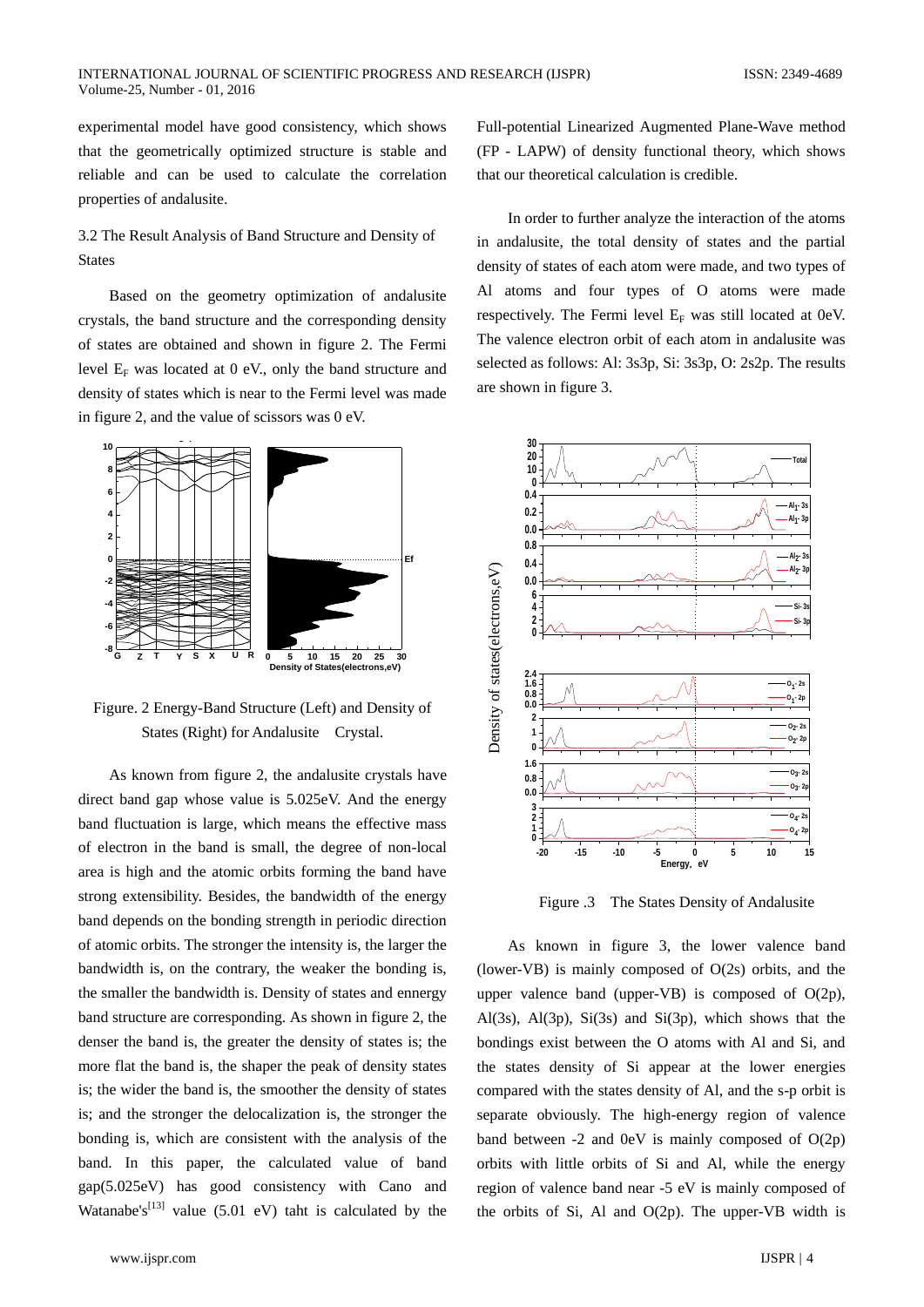experimental model have good consistency, which shows that the geometrically optimized structure is stable and reliable and can be used to calculate the correlation properties of andalusite.

# 3.2 The Result Analysis of Band Structure and Density of States

Based on the geometry optimization of andalusite crystals, the band structure and the corresponding density of states are obtained and shown in figure 2. The Fermi level  $E_F$  was located at 0 eV., only the band structure and density of states which is near to the Fermi level was made in figure 2, and the value of scissors was 0 eV.



Figure. 2 Energy-Band Structure (Left) and Density of States (Right) for Andalusite Crystal.

As known from figure 2, the andalusite crystals have direct band gap whose value is 5.025eV. And the energy band fluctuation is large, which means the effective mass of electron in the band is small, the degree of non-local area is high and the atomic orbits forming the band have strong extensibility. Besides, the bandwidth of the energy band depends on the bonding strength in periodic direction of atomic orbits. The stronger the intensity is, the larger the bandwidth is, on the contrary, the weaker the bonding is, the smaller the bandwidth is. Density of states and ennergy band structure are corresponding. As shown in figure 2, the denser the band is, the greater the density of states is; the more flat the band is, the shaper the peak of density states is; the wider the band is, the smoother the density of states is; and the stronger the delocalization is, the stronger the bonding is, which are consistent with the analysis of the band. In this paper, the calculated value of band gap(5.025eV) has good consistency with Cano and Watanabe's<sup>[13]</sup> value (5.01 eV) taht is calculated by the

Full-potential Linearized Augmented Plane-Wave method (FP - LAPW) of density functional theory, which shows that our theoretical calculation is credible.

In order to further analyze the interaction of the atoms in andalusite, the total density of states and the partial density of states of each atom were made, and two types of Al atoms and four types of O atoms were made respectively. The Fermi level  $E_F$  was still located at 0eV. The valence electron orbit of each atom in andalusite was selected as follows: Al: 3s3p, Si: 3s3p, O: 2s2p. The results are shown in figure 3.



Figure .3 The States Density of Andalusite

As known in figure 3, the lower valence band (lower-VB) is mainly composed of O(2s) orbits, and the upper valence band (upper-VB) is composed of  $O(2p)$ , Al(3s), Al(3p), Si(3s) and Si(3p), which shows that the bondings exist between the O atoms with Al and Si, and the states density of Si appear at the lower energies compared with the states density of Al, and the s-p orbit is separate obviously. The high-energy region of valence band between  $-2$  and  $0eV$  is mainly composed of  $O(2p)$ orbits with little orbits of Si and Al, while the energy region of valence band near -5 eV is mainly composed of the orbits of Si, Al and  $O(2p)$ . The upper-VB width is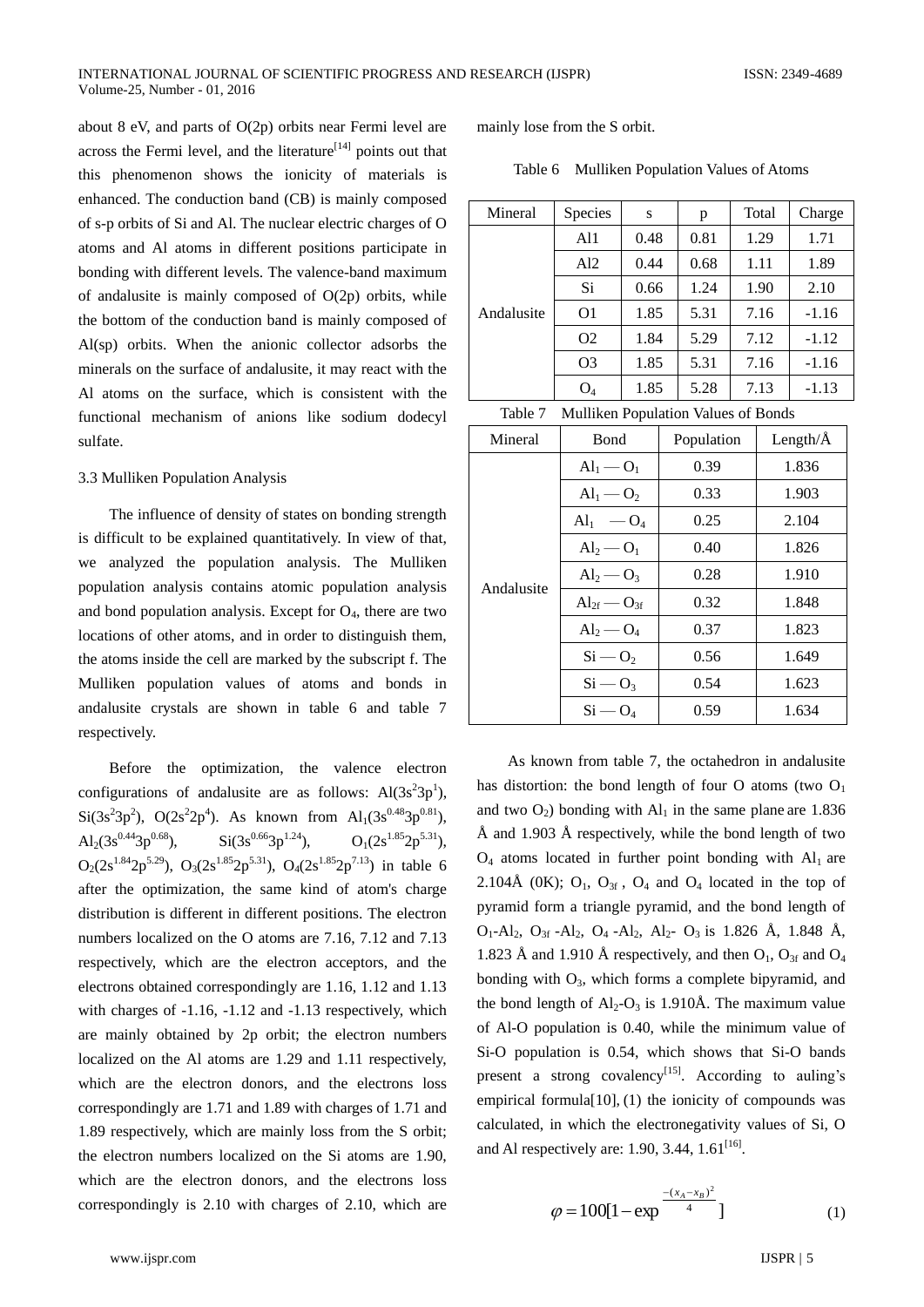about 8 eV, and parts of O(2p) orbits near Fermi level are across the Fermi level, and the literature<sup>[14]</sup> points out that this phenomenon shows the ionicity of materials is enhanced. The conduction band (CB) is mainly composed of s-p orbits of Si and Al. The nuclear electric charges of O atoms and Al atoms in different positions participate in bonding with different levels. The valence-band maximum of andalusite is mainly composed of  $O(2p)$  orbits, while the bottom of the conduction band is mainly composed of Al(sp) orbits. When the anionic collector adsorbs the minerals on the surface of andalusite, it may react with the Al atoms on the surface, which is consistent with the functional mechanism of anions like sodium dodecyl sulfate.

#### 3.3 Mulliken Population Analysis

The influence of density of states on bonding strength is difficult to be explained quantitatively. In view of that, we analyzed the population analysis. The Mulliken population analysis contains atomic population analysis and bond population analysis. Except for  $O<sub>4</sub>$ , there are two locations of other atoms, and in order to distinguish them, the atoms inside the cell are marked by the subscript f. The Mulliken population values of atoms and bonds in andalusite crystals are shown in table 6 and table 7 respectively.

Before the optimization, the valence electron configurations of andalusite are as follows:  $Al(3s^23p^1)$ ,  $Si(3s^23p^2)$ ,  $O(2s^22p^4)$ . As known from  $Al_1(3s^{0.48}3p^{0.81})$ , Al<sub>2</sub>(3s<sup>0.44</sup>3p<sup>0.68</sup>), Si(3s<sup>0.66</sup>3p<sup>1.24</sup>), O<sub>1</sub>(2s<sup>1.85</sup>2p<sup>5.31</sup>),  $O_2(2s^{1.84}2p^{5.29})$ ,  $O_3(2s^{1.85}2p^{5.31})$ ,  $O_4(2s^{1.85}2p^{7.13})$  in table 6 after the optimization, the same kind of atom's charge distribution is different in different positions. The electron numbers localized on the O atoms are 7.16, 7.12 and 7.13 respectively, which are the electron acceptors, and the electrons obtained correspondingly are 1.16, 1.12 and 1.13 with charges of -1.16, -1.12 and -1.13 respectively, which are mainly obtained by 2p orbit; the electron numbers localized on the Al atoms are 1.29 and 1.11 respectively, which are the electron donors, and the electrons loss correspondingly are 1.71 and 1.89 with charges of 1.71 and 1.89 respectively, which are mainly loss from the S orbit; the electron numbers localized on the Si atoms are 1.90, which are the electron donors, and the electrons loss correspondingly is 2.10 with charges of 2.10, which are

mainly lose from the S orbit.

|  |  | Table 6 Mulliken Population Values of Atoms |  |  |
|--|--|---------------------------------------------|--|--|
|--|--|---------------------------------------------|--|--|

| Mineral                                                                                  | Species         | S    | p    | Total | Charge  |
|------------------------------------------------------------------------------------------|-----------------|------|------|-------|---------|
| Andalusite                                                                               | A <sub>11</sub> | 0.48 | 0.81 | 1.29  | 1.71    |
|                                                                                          | Al2             | 0.44 | 0.68 | 1.11  | 1.89    |
|                                                                                          | Si              | 0.66 | 1.24 | 1.90  | 2.10    |
|                                                                                          | O <sub>1</sub>  | 1.85 | 5.31 | 7.16  | $-1.16$ |
|                                                                                          | O <sub>2</sub>  | 1.84 | 5.29 | 7.12  | $-1.12$ |
|                                                                                          | O <sub>3</sub>  | 1.85 | 5.31 | 7.16  | $-1.16$ |
|                                                                                          | $O_4$           | 1.85 | 5.28 | 7.13  | $-1.13$ |
| $T_{\rm b}1.1.7$<br>$M_{\odot}$ 11.1 Denote the $M_{\odot}$ because $\mathcal{L}$ Denote |                 |      |      |       |         |

| Mineral    | Bond                  | Population | Length/ $\AA$ |  |
|------------|-----------------------|------------|---------------|--|
|            | $Al1 - O1$            | 0.39       | 1.836         |  |
|            | $Al_1 - O_2$          | 0.33       | 1.903         |  |
|            | $\rm Al_1 \quad -O_4$ | 0.25       | 2.104         |  |
| Andalusite | $Al2 - O1$            | 0.40       | 1.826         |  |
|            | $Al2 - O3$            | 0.28       | 1.910         |  |
|            | $Al_{2f}$ — $O_{3f}$  | 0.32       | 1.848         |  |
|            | $Al_2 - O_4$          | 0.37       | 1.823         |  |
|            | $Si - O2$             | 0.56       | 1.649         |  |
|            | $Si - O_3$            | 0.54       | 1.623         |  |
|            | $Si - O4$             | 0.59       | 1.634         |  |

As known from table 7, the octahedron in andalusite has distortion: the bond length of four O atoms (two  $O<sub>1</sub>$ and two  $O_2$ ) bonding with  $Al_1$  in the same plane are 1.836 Å and 1.903 Å respectively, while the bond length of two  $O_4$  atoms located in further point bonding with  $Al_1$  are 2.104Å (OK);  $O_1$ ,  $O_{3f}$ ,  $O_4$  and  $O_4$  located in the top of pyramid form a triangle pyramid, and the bond length of O<sub>1</sub>-Al<sub>2</sub>, O<sub>3f</sub> -Al<sub>2</sub>, O<sub>4</sub> -Al<sub>2</sub>, Al<sub>2</sub>- O<sub>3</sub> is 1.826 Å, 1.848 Å, 1.823 Å and 1.910 Å respectively, and then  $O_1$ ,  $O_{3f}$  and  $O_4$ bonding with  $O_3$ , which forms a complete bipyramid, and the bond length of  $Al_2-O_3$  is 1.910Å. The maximum value of Al-O population is 0.40, while the minimum value of Si-O population is 0.54, which shows that Si-O bands present a strong covalency<sup>[15]</sup>. According to auling's empirical formula $[10]$ ,  $(1)$  the ionicity of compounds was calculated, in which the electronegativity values of Si, O and Al respectively are: 1.90, 3.44,  $1.61^{[16]}$ .

$$
\varphi = 100[1 - \exp^{\frac{-(x_A - x_B)^2}{4}}]
$$
 (1)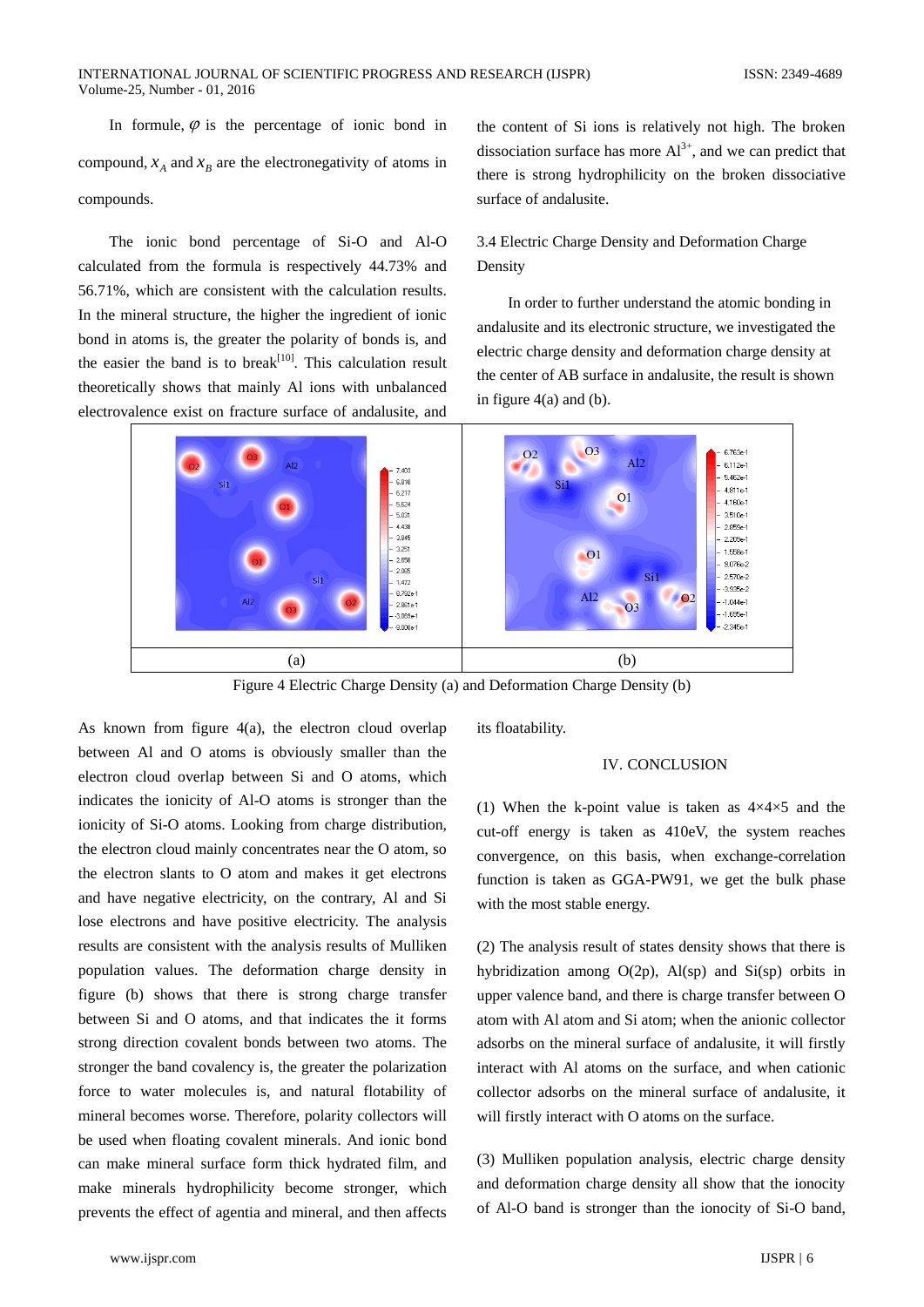In formule,  $\varphi$  is the percentage of ionic bond in compound,  $x_A$  and  $x_B$  are the electronegativity of atoms in compounds.

The ionic bond percentage of Si-O and Al-O calculated from the formula is respectively 44.73% and 56.71%, which are consistent with the calculation results. In the mineral structure, the higher the ingredient of ionic bond in atoms is, the greater the polarity of bonds is, and the easier the band is to break<sup>[10]</sup>. This calculation result theoretically shows that mainly Al ions with unbalanced electrovalence exist on fracture surface of andalusite, and

the content of Si ions is relatively not high. The broken dissociation surface has more  $Al^{3+}$ , and we can predict that there is strong hydrophilicity on the broken dissociative surface of andalusite.

## 3.4 Electric Charge Density and Deformation Charge Density

 In order to further understand the atomic bonding in andalusite and its electronic structure, we investigated the electric charge density and deformation charge density at the center of AB surface in andalusite, the result is shown in figure  $4(a)$  and (b).



Figure 4 Electric Charge Density (a) and Deformation Charge Density (b)

As known from figure 4(a), the electron cloud overlap between Al and O atoms is obviously smaller than the electron cloud overlap between Si and O atoms, which indicates the ionicity of Al-O atoms is stronger than the ionicity of Si-O atoms. Looking from charge distribution, the electron cloud mainly concentrates near the O atom, so the electron slants to O atom and makes it get electrons and have negative electricity, on the contrary, Al and Si lose electrons and have positive electricity. The analysis results are consistent with the analysis results of Mulliken population values. The deformation charge density in figure (b) shows that there is strong charge transfer between Si and O atoms, and that indicates the it forms strong direction covalent bonds between two atoms. The stronger the band covalency is, the greater the polarization force to water molecules is, and natural flotability of mineral becomes worse. Therefore, polarity collectors will be used when floating covalent minerals. And ionic bond can make mineral surface form thick hydrated film, and make minerals hydrophilicity become stronger, which prevents the effect of agentia and mineral, and then affects

its floatability.

## IV. CONCLUSION

(1) When the k-point value is taken as 4×4×5 and the cut-off energy is taken as 410eV, the system reaches convergence, on this basis, when exchange-correlation function is taken as GGA-PW91, we get the bulk phase with the most stable energy.

(2) The analysis result of states density shows that there is hybridization among  $O(2p)$ ,  $Al(sp)$  and  $Si(sp)$  orbits in upper valence band, and there is charge transfer between O atom with Al atom and Si atom; when the anionic collector adsorbs on the mineral surface of andalusite, it will firstly interact with Al atoms on the surface, and when cationic collector adsorbs on the mineral surface of andalusite, it will firstly interact with O atoms on the surface.

(3) Mulliken population analysis, electric charge density and deformation charge density all show that the ionocity of Al-O band is stronger than the ionocity of Si-O band,